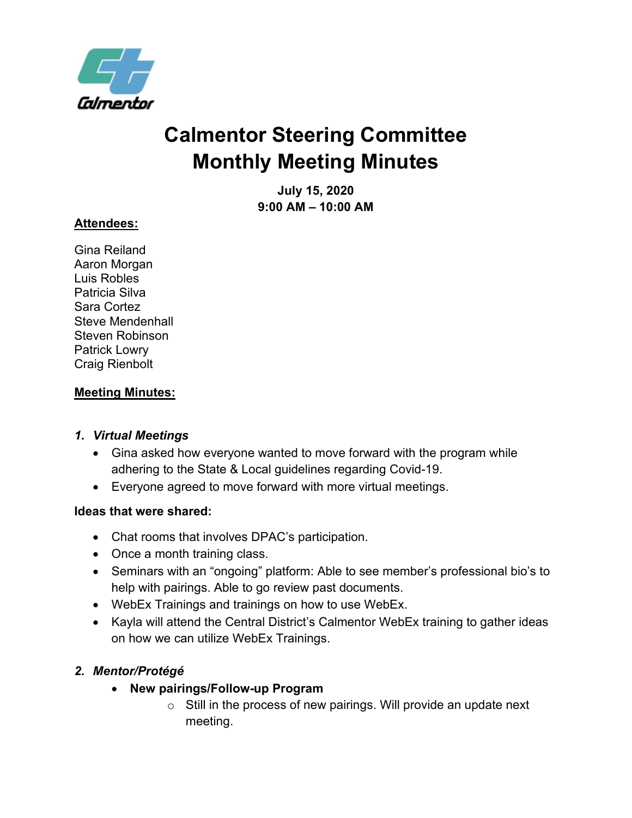

# **Calmentor Steering Committee Monthly Meeting Minutes**

**July 15, 2020 9:00 AM – 10:00 AM**

#### **Attendees:**

Gina Reiland Aaron Morgan Luis Robles Patricia Silva Sara Cortez Steve Mendenhall Steven Robinson Patrick Lowry Craig Rienbolt

## **Meeting Minutes:**

#### *1. Virtual Meetings*

- Gina asked how everyone wanted to move forward with the program while adhering to the State & Local guidelines regarding Covid-19.
- Everyone agreed to move forward with more virtual meetings.

#### **Ideas that were shared:**

- Chat rooms that involves DPAC's participation.
- Once a month training class.
- Seminars with an "ongoing" platform: Able to see member's professional bio's to help with pairings. Able to go review past documents.
- WebEx Trainings and trainings on how to use WebEx.
- Kayla will attend the Central District's Calmentor WebEx training to gather ideas on how we can utilize WebEx Trainings.

## *2. Mentor/Protégé*

- **New pairings/Follow-up Program**
	- $\circ$  Still in the process of new pairings. Will provide an update next meeting.